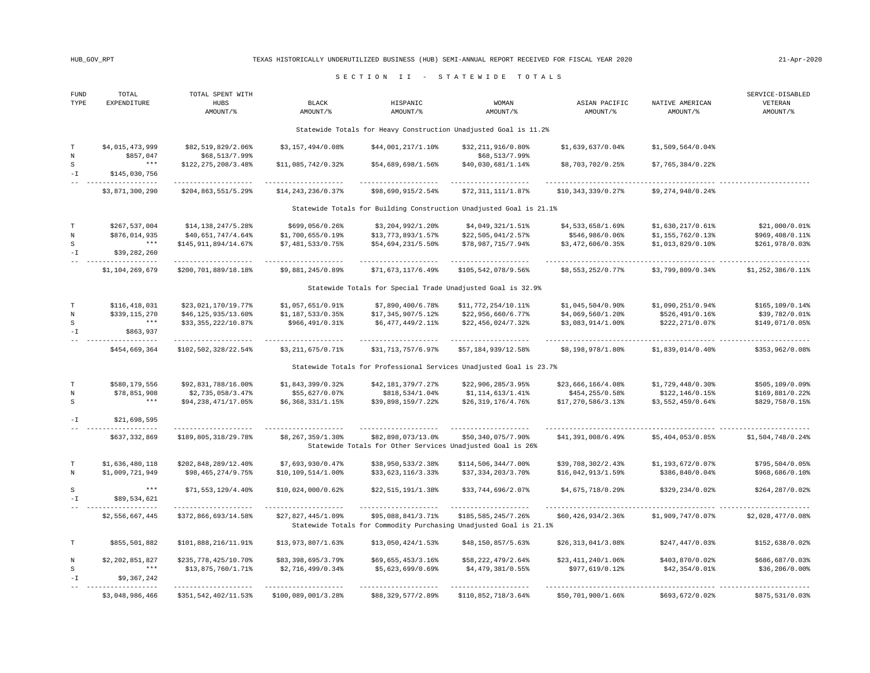## HUB\_GOV\_RPT TEXAS HISTORICALLY UNDERUTILIZED BUSINESS (HUB) SEMI-ANNUAL REPORT RECEIVED FOR FISCAL YEAR 2020 21-Apr-2020

## S E C T I O N I I - S T A T E W I D E T O T A L S

| FUND<br>TYPE                        | TOTAL<br>EXPENDITURE               | TOTAL SPENT WITH<br>HUBS<br>AMOUNT/% | BLACK<br>AMOUNT/%   | HISPANIC<br>AMOUNT/% | <b>WOMAN</b><br>AMOUNT/%                                            | ASIAN PACIFIC<br>AMOUNT/% | NATIVE AMERICAN<br>AMOUNT/% | SERVICE-DISABLED<br>VETERAN<br>AMOUNT/% |
|-------------------------------------|------------------------------------|--------------------------------------|---------------------|----------------------|---------------------------------------------------------------------|---------------------------|-----------------------------|-----------------------------------------|
|                                     |                                    |                                      |                     |                      | Statewide Totals for Heavy Construction Unadjusted Goal is 11.2%    |                           |                             |                                         |
| $\mathbb T$<br>$\overline{N}$       | \$4,015,473,999<br>\$857,047       | \$82,519,829/2.06%<br>\$68,513/7.99  | \$3,157,494/0.08%   | \$44,001,217/1.10%   | \$32,211,916/0.80%<br>\$68,513/7.99%                                | \$1,639,637/0.04          | \$1,509,564/0.048           |                                         |
| $\, \mathbb{S} \,$<br>$-\mathbb{I}$ | $\star\star\star$<br>\$145,030,756 | \$122, 275, 208/3.48                 | \$11,085,742/0.32%  | \$54,689,698/1.56    | \$40,030,681/1.14%                                                  | \$8,703,702/0.25%         | \$7,765,384/0.22            |                                         |
|                                     | \$3,871,300,290                    | \$204,863,551/5.29\$                 | \$14, 243, 236/0.37 | \$98,690,915/2.54%   | \$72,311,111/1.87%                                                  | \$10,343,339/0.27         | \$9,274,948/0.24%           |                                         |
|                                     |                                    |                                      |                     |                      | Statewide Totals for Building Construction Unadjusted Goal is 21.1% |                           |                             |                                         |
| T                                   | \$267,537,004                      | \$14,138,247/5.28                    | \$699,056/0.26      | \$3,204,992/1.20     | \$4,049,321/1.518                                                   | \$4,533,658/1.69\$        | \$1,630,217/0.61            | \$21,000/0.01                           |
| N                                   | \$876,014,935                      | \$40,651,747/4.64%                   | \$1,700,655/0.19\$  | \$13,773,893/1.57%   | \$22,505,041/2.57                                                   | \$546,986/0.06%           | \$1,155,762/0.13            | \$969,408/0.11%                         |
| S                                   | $\star\star\star$                  | \$145,911,894/14.67%                 | \$7,481,533/0.75%   | \$54,694,231/5.50%   | \$78,987,715/7.94%                                                  | \$3,472,606/0.35          | \$1,013,829/0.10\$          | \$261,978/0.03%                         |
| $-1$                                | \$39,282,260                       |                                      |                     |                      |                                                                     |                           |                             |                                         |
|                                     | \$1,104,269,679                    | \$200,701,889/18.18%                 | \$9,881,245/0.89%   | \$71,673,117/6.49%   | \$105,542,078/9.56%                                                 | \$8,553,252/0.77          | \$3,799,809/0.34            | \$1,252,386/0.118                       |
|                                     |                                    |                                      |                     |                      | Statewide Totals for Special Trade Unadjusted Goal is 32.9%         |                           |                             |                                         |
| T                                   | \$116,418,031                      | \$23,021,170/19.77%                  | \$1,057,651/0.91    | \$7,890,400/6.78%    | \$11,772,254/10.11%                                                 | \$1,045,504/0.90          | \$1,090,251/0.94            | \$165, 109/0.14                         |
| N                                   | \$339,115,270                      | \$46,125,935/13.60%                  | \$1,187,533/0.35%   | \$17,345,907/5.12%   | \$22,956,660/6.77%                                                  | \$4,069,560/1.20%         | \$526,491/0.16%             | \$39,782/0.01%                          |
| S                                   | $***$                              | \$33,355,222/10.87%                  | \$966,491/0.31%     | \$6,477,449/2.11%    | \$22,456,024/7.32%                                                  | \$3,083,914/1.00          | \$222,271/0.07%             | \$149,071/0.05%                         |
| $-\mathbb{I}$                       | \$863,937                          |                                      |                     |                      |                                                                     |                           |                             |                                         |
|                                     | \$454,669,364                      | \$102,502,328/22.54%                 | \$3,211,675/0.71%   | \$31,713,757/6.97%   | \$57,184,939/12.58%                                                 | \$8,198,978/1.80%         | \$1,839,014/0.40            | \$353,962/0.08%                         |
|                                     |                                    |                                      |                     |                      | Statewide Totals for Professional Services Unadjusted Goal is 23.7% |                           |                             |                                         |
| $\mathbf T$                         | \$580,179,556                      | \$92,831,788/16.00%                  | \$1,843,399/0.32    | \$42,181,379/7.27%   | \$22,906,285/3.95%                                                  | \$23,666,166/4.08%        | \$1,729,448/0.30            | \$505,109/0.09%                         |
| N                                   | \$78,851,908                       | \$2,735,058/3.47                     | \$55,627/0.07       | \$818,534/1.04%      | \$1,114,613/1.418                                                   | \$454,255/0.58%           | \$122,146/0.15%             | \$169,881/0.22%                         |
| S                                   | $* * *$                            | \$94,238,471/17.05%                  | \$6,368,331/1.15    | \$39,898,159/7.22%   | \$26,319,176/4.76%                                                  | \$17,270,586/3.13         | \$3,552,459/0.64%           | \$829,758/0.15%                         |
| $ \mathbbm{I}$                      | \$21,698,595                       |                                      |                     |                      |                                                                     |                           |                             |                                         |
|                                     | \$637,332,869                      | \$189,805,318/29.78%                 | \$8,267,359/1.30    | \$82,898,073/13.0%   | \$50,340,075/7.90%                                                  | \$41,391,008/6.49%        | \$5,404,053/0.85%           | \$1,504,748/0.24\$                      |
|                                     |                                    |                                      |                     |                      | Statewide Totals for Other Services Unadjusted Goal is 26%          |                           |                             |                                         |
| $\mathbf T$                         | \$1,636,480,118                    | \$202,848,289/12.40%                 | \$7,693,930/0.47    | \$38,950,533/2.38%   | \$114,506,344/7.00                                                  | \$39,708,302/2.43%        | \$1,193,672/0.07            | \$795,504/0.05                          |
| $_{\rm N}$                          | \$1,009,721,949                    | \$98,465,274/9.75%                   | \$10,109,514/1.00   | \$33,623,116/3.33%   | \$37,334,203/3.70%                                                  | \$16,042,913/1.59%        | \$386,840/0.04%             | \$968,686/0.10%                         |
| S                                   | $\star\star\star$                  | \$71,553,129/4.40%                   | \$10,024,000/0.62   | \$22,515,191/1.38%   | \$33,744,696/2.07%                                                  | \$4,675,718/0.29%         | \$329,234/0.02%             | \$264,287/0.02%                         |
| $-\mathbbm{I}$                      | \$89,534,621                       |                                      |                     |                      |                                                                     |                           |                             |                                         |
|                                     |                                    |                                      |                     |                      |                                                                     |                           |                             |                                         |
|                                     | \$2,556,667,445                    | \$372,866,693/14.58%                 | \$27,827,445/1.09\$ | \$95,088,841/3.71%   | \$185,585,245/7.26%                                                 | \$60,426,934/2.36%        | \$1,909,747/0.07            | \$2,028,477/0.08\$                      |
|                                     |                                    |                                      |                     |                      | Statewide Totals for Commodity Purchasing Unadjusted Goal is 21.1%  |                           |                             |                                         |
| $\mathbb T$                         | \$855,501,882                      | \$101,888,216/11.91%                 | \$13,973,807/1.63%  | \$13,050,424/1.53    | \$48,150,857/5.63%                                                  | \$26,313,041/3.08%        | \$247,447/0.03              | \$152,638/0.02%                         |
| $\rm N$                             | \$2,202,851,827                    | \$235,778,425/10.70%                 | \$83,398,695/3.79%  | \$69,655,453/3.16%   | \$58,222,479/2.64%                                                  | \$23,411,240/1.06%        | \$403,870/0.02%             | \$686,687/0.03%                         |
| S                                   | $\star\star\star$                  | \$13,875,760/1.71%                   | \$2,716,499/0.34    | \$5,623,699/0.698    | \$4,479,381/0.55                                                    | \$977,619/0.12%           | \$42,354/0.018              | \$36, 206/0.00                          |
| $-\mathbb{I}$                       | \$9,367,242                        |                                      |                     |                      |                                                                     |                           |                             |                                         |
|                                     | \$3,048,986,466                    | \$351,542,402/11.53%                 | \$100,089,001/3.28  | \$88,329,577/2.89%   | \$110,852,718/3.64%                                                 | \$50,701,900/1.66%        | \$693,672/0.02%             | \$875,531/0.03%                         |